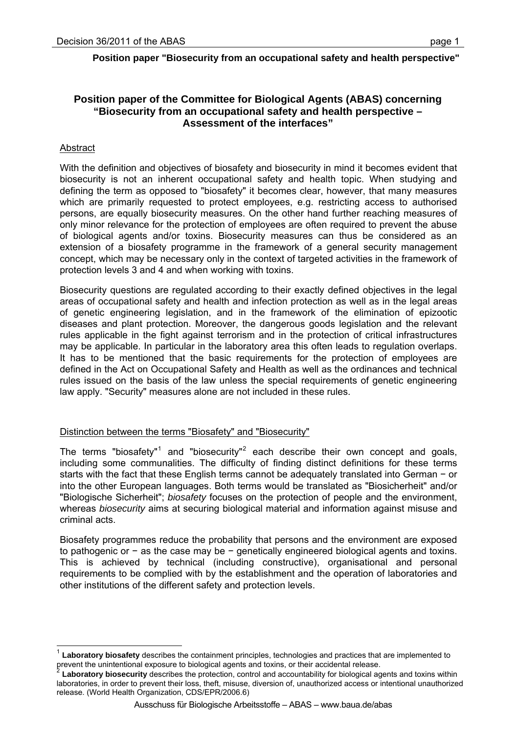## **Position paper of the Committee for Biological Agents (ABAS) concerning "Biosecurity from an occupational safety and health perspective – Assessment of the interfaces"**

## Abstract

l

With the definition and objectives of biosafety and biosecurity in mind it becomes evident that biosecurity is not an inherent occupational safety and health topic. When studying and defining the term as opposed to "biosafety" it becomes clear, however, that many measures which are primarily requested to protect employees, e.g. restricting access to authorised persons, are equally biosecurity measures. On the other hand further reaching measures of only minor relevance for the protection of employees are often required to prevent the abuse of biological agents and/or toxins. Biosecurity measures can thus be considered as an extension of a biosafety programme in the framework of a general security management concept, which may be necessary only in the context of targeted activities in the framework of protection levels 3 and 4 and when working with toxins.

Biosecurity questions are regulated according to their exactly defined objectives in the legal areas of occupational safety and health and infection protection as well as in the legal areas of genetic engineering legislation, and in the framework of the elimination of epizootic diseases and plant protection. Moreover, the dangerous goods legislation and the relevant rules applicable in the fight against terrorism and in the protection of critical infrastructures may be applicable. In particular in the laboratory area this often leads to regulation overlaps. It has to be mentioned that the basic requirements for the protection of employees are defined in the Act on Occupational Safety and Health as well as the ordinances and technical rules issued on the basis of the law unless the special requirements of genetic engineering law apply. "Security" measures alone are not included in these rules.

## Distinction between the terms "Biosafety" and "Biosecurity"

The terms "biosafety"<sup>[1](#page-0-0)</sup> and "biosecurity"<sup>[2](#page-0-1)</sup> each describe their own concept and goals, including some communalities. The difficulty of finding distinct definitions for these terms starts with the fact that these English terms cannot be adequately translated into German − or into the other European languages. Both terms would be translated as "Biosicherheit" and/or "Biologische Sicherheit"; *biosafety* focuses on the protection of people and the environment, whereas *biosecurity* aims at securing biological material and information against misuse and criminal acts.

Biosafety programmes reduce the probability that persons and the environment are exposed to pathogenic or − as the case may be − genetically engineered biological agents and toxins. This is achieved by technical (including constructive), organisational and personal requirements to be complied with by the establishment and the operation of laboratories and other institutions of the different safety and protection levels.

<span id="page-0-0"></span>Laboratory biosafety describes the containment principles, technologies and practices that are implemented to prevent the unintentional exposure to biological agents and toxins, or their accidental release.<br><sup>2</sup> Laboratory biosecurity describes the protection, control and accountability for biological agents and toxins within

<span id="page-0-1"></span>laboratories, in order to prevent their loss, theft, misuse, diversion of, unauthorized access or intentional unauthorized release. (World Health Organization, CDS/EPR/2006.6)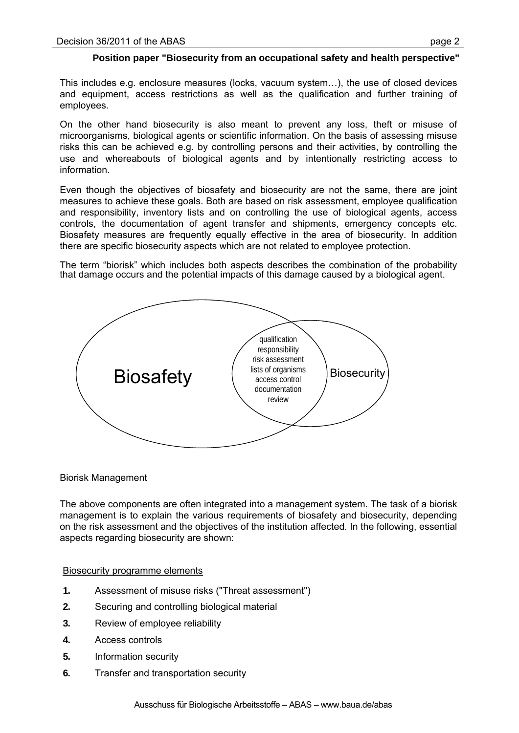This includes e.g. enclosure measures (locks, vacuum system…), the use of closed devices and equipment, access restrictions as well as the qualification and further training of employees.

On the other hand biosecurity is also meant to prevent any loss, theft or misuse of microorganisms, biological agents or scientific information. On the basis of assessing misuse risks this can be achieved e.g. by controlling persons and their activities, by controlling the use and whereabouts of biological agents and by intentionally restricting access to information.

Even though the objectives of biosafety and biosecurity are not the same, there are joint measures to achieve these goals. Both are based on risk assessment, employee qualification and responsibility, inventory lists and on controlling the use of biological agents, access controls, the documentation of agent transfer and shipments, emergency concepts etc. Biosafety measures are frequently equally effective in the area of biosecurity. In addition there are specific biosecurity aspects which are not related to employee protection.

The term "biorisk" which includes both aspects describes the combination of the probability that damage occurs and the potential impacts of this damage caused by a biological agent.



Biorisk Management

The above components are often integrated into a management system. The task of a biorisk management is to explain the various requirements of biosafety and biosecurity, depending on the risk assessment and the objectives of the institution affected. In the following, essential aspects regarding biosecurity are shown:

## Biosecurity programme elements

- **1.** Assessment of misuse risks ("Threat assessment")
- **2.** Securing and controlling biological material
- **3.** Review of employee reliability
- **4.** Access controls
- **5.** Information security
- **6.** Transfer and transportation security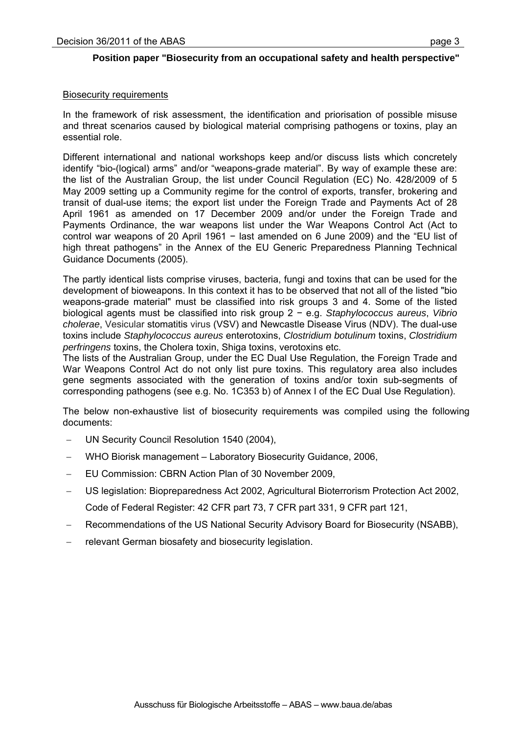### Biosecurity requirements

In the framework of risk assessment, the identification and priorisation of possible misuse and threat scenarios caused by biological material comprising pathogens or toxins, play an essential role.

Different international and national workshops keep and/or discuss lists which concretely identify "bio-(logical) arms" and/or "weapons-grade material". By way of example these are: the list of the Australian Group, the list under Council Regulation (EC) No. 428/2009 of 5 May 2009 setting up a Community regime for the control of exports, transfer, brokering and transit of dual-use items; the export list under the Foreign Trade and Payments Act of 28 April 1961 as amended on 17 December 2009 and/or under the Foreign Trade and Payments Ordinance, the war weapons list under the War Weapons Control Act (Act to control war weapons of 20 April 1961 − last amended on 6 June 2009) and the "EU list of high threat pathogens" in the Annex of the EU Generic Preparedness Planning Technical Guidance Documents (2005).

The partly identical lists comprise viruses, bacteria, fungi and toxins that can be used for the development of bioweapons. In this context it has to be observed that not all of the listed "bio weapons-grade material" must be classified into risk groups 3 and 4. Some of the listed biological agents must be classified into risk group 2 − e.g. *Staphylococcus aureus*, *Vibrio cholerae*, Vesicular stomatitis virus (VSV) and Newcastle Disease Virus (NDV). The dual-use toxins include *Staphylococcus aureus* enterotoxins, *Clostridium botulinum* toxins, *Clostridium perfringens* toxins, the Cholera toxin, Shiga toxins, verotoxins etc.

The lists of the Australian Group, under the EC Dual Use Regulation, the Foreign Trade and War Weapons Control Act do not only list pure toxins. This regulatory area also includes gene segments associated with the generation of toxins and/or toxin sub-segments of corresponding pathogens (see e.g. No. 1C353 b) of Annex I of the EC Dual Use Regulation).

The below non-exhaustive list of biosecurity requirements was compiled using the following documents:

- UN Security Council Resolution 1540 (2004),
- WHO Biorisk management Laboratory Biosecurity Guidance, 2006,
- EU Commission: CBRN Action Plan of 30 November 2009,
- US legislation: Biopreparedness Act 2002, Agricultural Bioterrorism Protection Act 2002, Code of Federal Register: 42 CFR part 73, 7 CFR part 331, 9 CFR part 121,
- Recommendations of the US National Security Advisory Board for Biosecurity (NSABB),
- relevant German biosafety and biosecurity legislation.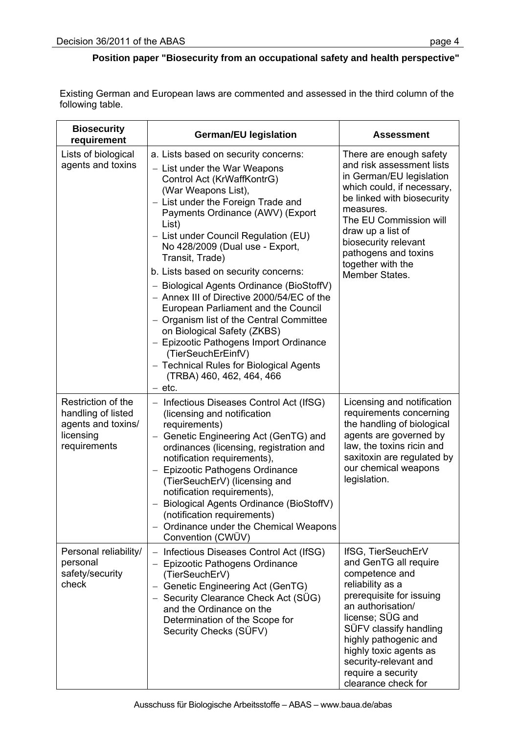Existing German and European laws are commented and assessed in the third column of the following table.

| <b>Biosecurity</b><br>requirement                                                           | <b>German/EU legislation</b>                                                                                                                                                                                                                                                                                                                                                                                                                                                                                                                                                                                                                                                                                        | <b>Assessment</b>                                                                                                                                                                                                                                                                                         |
|---------------------------------------------------------------------------------------------|---------------------------------------------------------------------------------------------------------------------------------------------------------------------------------------------------------------------------------------------------------------------------------------------------------------------------------------------------------------------------------------------------------------------------------------------------------------------------------------------------------------------------------------------------------------------------------------------------------------------------------------------------------------------------------------------------------------------|-----------------------------------------------------------------------------------------------------------------------------------------------------------------------------------------------------------------------------------------------------------------------------------------------------------|
| Lists of biological<br>agents and toxins                                                    | a. Lists based on security concerns:<br>- List under the War Weapons<br>Control Act (KrWaffKontrG)<br>(War Weapons List),<br>- List under the Foreign Trade and<br>Payments Ordinance (AWV) (Export<br>List)<br>- List under Council Regulation (EU)<br>No 428/2009 (Dual use - Export,<br>Transit, Trade)<br>b. Lists based on security concerns:<br>- Biological Agents Ordinance (BioStoffV)<br>- Annex III of Directive 2000/54/EC of the<br>European Parliament and the Council<br>- Organism list of the Central Committee<br>on Biological Safety (ZKBS)<br>- Epizootic Pathogens Import Ordinance<br>(TierSeuchErEinfV)<br>- Technical Rules for Biological Agents<br>(TRBA) 460, 462, 464, 466<br>$-$ etc. | There are enough safety<br>and risk assessment lists<br>in German/EU legislation<br>which could, if necessary,<br>be linked with biosecurity<br>measures.<br>The EU Commission will<br>draw up a list of<br>biosecurity relevant<br>pathogens and toxins<br>together with the<br>Member States.           |
| Restriction of the<br>handling of listed<br>agents and toxins/<br>licensing<br>requirements | Infectious Diseases Control Act (IfSG)<br>$\overline{\phantom{0}}$<br>(licensing and notification<br>requirements)<br>Genetic Engineering Act (GenTG) and<br>$\overline{\phantom{0}}$<br>ordinances (licensing, registration and<br>notification requirements),<br>- Epizootic Pathogens Ordinance<br>(TierSeuchErV) (licensing and<br>notification requirements),<br>- Biological Agents Ordinance (BioStoffV)<br>(notification requirements)<br>- Ordinance under the Chemical Weapons<br>Convention (CWÜV)                                                                                                                                                                                                       | Licensing and notification<br>requirements concerning<br>the handling of biological<br>agents are governed by<br>law, the toxins ricin and<br>saxitoxin are regulated by<br>our chemical weapons<br>legislation.                                                                                          |
| Personal reliability/<br>personal<br>safety/security<br>check                               | Infectious Diseases Control Act (IfSG)<br>$\overline{\phantom{0}}$<br>Epizootic Pathogens Ordinance<br>(TierSeuchErV)<br>Genetic Engineering Act (GenTG)<br>$\overline{\phantom{0}}$<br>Security Clearance Check Act (SÜG)<br>and the Ordinance on the<br>Determination of the Scope for<br>Security Checks (SÜFV)                                                                                                                                                                                                                                                                                                                                                                                                  | IfSG, TierSeuchErV<br>and GenTG all require<br>competence and<br>reliability as a<br>prerequisite for issuing<br>an authorisation/<br>license; SÜG and<br>SÜFV classify handling<br>highly pathogenic and<br>highly toxic agents as<br>security-relevant and<br>require a security<br>clearance check for |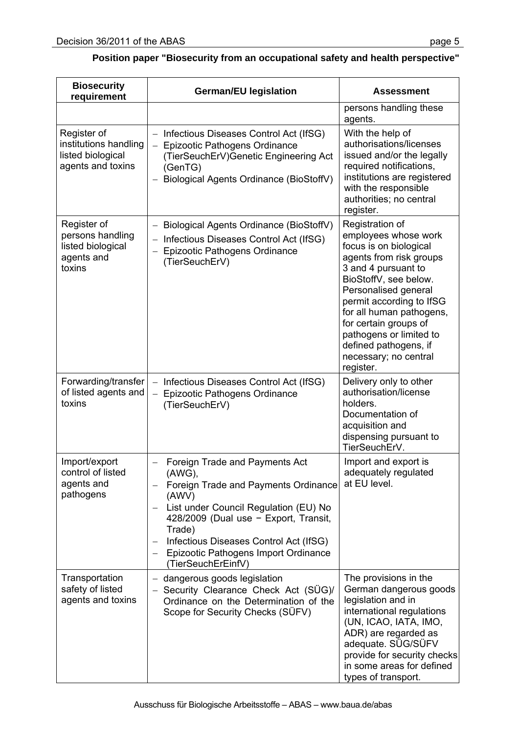| <b>Biosecurity</b><br>requirement                                              | <b>German/EU legislation</b>                                                                                                                                                                                                                                                                    | Assessment                                                                                                                                                                                                                                                                                                                                      |
|--------------------------------------------------------------------------------|-------------------------------------------------------------------------------------------------------------------------------------------------------------------------------------------------------------------------------------------------------------------------------------------------|-------------------------------------------------------------------------------------------------------------------------------------------------------------------------------------------------------------------------------------------------------------------------------------------------------------------------------------------------|
|                                                                                |                                                                                                                                                                                                                                                                                                 | persons handling these<br>agents.                                                                                                                                                                                                                                                                                                               |
| Register of<br>institutions handling<br>listed biological<br>agents and toxins | Infectious Diseases Control Act (IfSG)<br>Epizootic Pathogens Ordinance<br>(TierSeuchErV) Genetic Engineering Act<br>(GenTG)<br>Biological Agents Ordinance (BioStoffV)                                                                                                                         | With the help of<br>authorisations/licenses<br>issued and/or the legally<br>required notifications,<br>institutions are registered<br>with the responsible<br>authorities; no central<br>register.                                                                                                                                              |
| Register of<br>persons handling<br>listed biological<br>agents and<br>toxins   | Biological Agents Ordinance (BioStoffV)<br>Infectious Diseases Control Act (IfSG)<br>Epizootic Pathogens Ordinance<br>(TierSeuchErV)                                                                                                                                                            | Registration of<br>employees whose work<br>focus is on biological<br>agents from risk groups<br>3 and 4 pursuant to<br>BioStoffV, see below.<br>Personalised general<br>permit according to IfSG<br>for all human pathogens,<br>for certain groups of<br>pathogens or limited to<br>defined pathogens, if<br>necessary; no central<br>register. |
| Forwarding/transfer<br>of listed agents and<br>toxins                          | Infectious Diseases Control Act (IfSG)<br>$\qquad \qquad -$<br>Epizootic Pathogens Ordinance<br>$\qquad \qquad -$<br>(TierSeuchErV)                                                                                                                                                             | Delivery only to other<br>authorisation/license<br>holders.<br>Documentation of<br>acquisition and<br>dispensing pursuant to<br>TierSeuchErV.                                                                                                                                                                                                   |
| Import/export<br>control of listed<br>agents and<br>pathogens                  | Foreign Trade and Payments Act<br>(AWG),<br>Foreign Trade and Payments Ordinance<br>(AWV)<br>List under Council Regulation (EU) No<br>428/2009 (Dual use $-$ Export, Transit,<br>Trade)<br>Infectious Diseases Control Act (IfSG)<br>Epizootic Pathogens Import Ordinance<br>(TierSeuchErEinfV) | Import and export is<br>adequately regulated<br>at EU level.                                                                                                                                                                                                                                                                                    |
| Transportation<br>safety of listed<br>agents and toxins                        | dangerous goods legislation<br>Security Clearance Check Act (SÜG)/<br>Ordinance on the Determination of the<br>Scope for Security Checks (SÜFV)                                                                                                                                                 | The provisions in the<br>German dangerous goods<br>legislation and in<br>international regulations<br>(UN, ICAO, IATA, IMO,<br>ADR) are regarded as<br>adequate. SÜG/SÜFV<br>provide for security checks<br>in some areas for defined<br>types of transport.                                                                                    |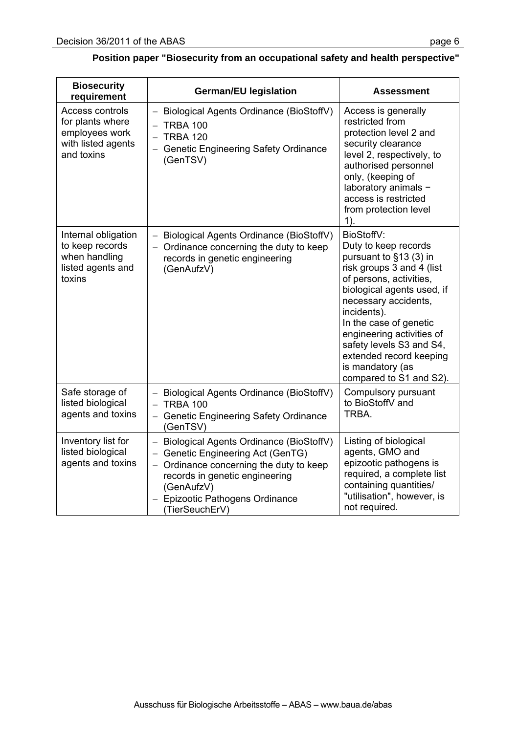| <b>Biosecurity</b><br>requirement                                                         | <b>German/EU legislation</b>                                                                                                                                                                                                   | <b>Assessment</b>                                                                                                                                                                                                                                                                                                                                      |
|-------------------------------------------------------------------------------------------|--------------------------------------------------------------------------------------------------------------------------------------------------------------------------------------------------------------------------------|--------------------------------------------------------------------------------------------------------------------------------------------------------------------------------------------------------------------------------------------------------------------------------------------------------------------------------------------------------|
| Access controls<br>for plants where<br>employees work<br>with listed agents<br>and toxins | Biological Agents Ordinance (BioStoffV)<br>$-$ TRBA 100<br>$-$ TRBA 120<br>- Genetic Engineering Safety Ordinance<br>(GenTSV)                                                                                                  | Access is generally<br>restricted from<br>protection level 2 and<br>security clearance<br>level 2, respectively, to<br>authorised personnel<br>only, (keeping of<br>laboratory animals -<br>access is restricted<br>from protection level<br>$1$ ).                                                                                                    |
| Internal obligation<br>to keep records<br>when handling<br>listed agents and<br>toxins    | - Biological Agents Ordinance (BioStoffV)<br>- Ordinance concerning the duty to keep<br>records in genetic engineering<br>(GenAufzV)                                                                                           | BioStoffV:<br>Duty to keep records<br>pursuant to §13 (3) in<br>risk groups 3 and 4 (list<br>of persons, activities,<br>biological agents used, if<br>necessary accidents,<br>incidents).<br>In the case of genetic<br>engineering activities of<br>safety levels S3 and S4,<br>extended record keeping<br>is mandatory (as<br>compared to S1 and S2). |
| Safe storage of<br>listed biological<br>agents and toxins                                 | - Biological Agents Ordinance (BioStoffV)<br>$-$ TRBA 100<br>- Genetic Engineering Safety Ordinance<br>(GenTSV)                                                                                                                | Compulsory pursuant<br>to BioStoffV and<br>TRBA.                                                                                                                                                                                                                                                                                                       |
| Inventory list for<br>listed biological<br>agents and toxins                              | - Biological Agents Ordinance (BioStoffV)<br>- Genetic Engineering Act (GenTG)<br>- Ordinance concerning the duty to keep<br>records in genetic engineering<br>(GenAufzV)<br>- Epizootic Pathogens Ordinance<br>(TierSeuchErV) | Listing of biological<br>agents, GMO and<br>epizootic pathogens is<br>required, a complete list<br>containing quantities/<br>"utilisation", however, is<br>not required.                                                                                                                                                                               |